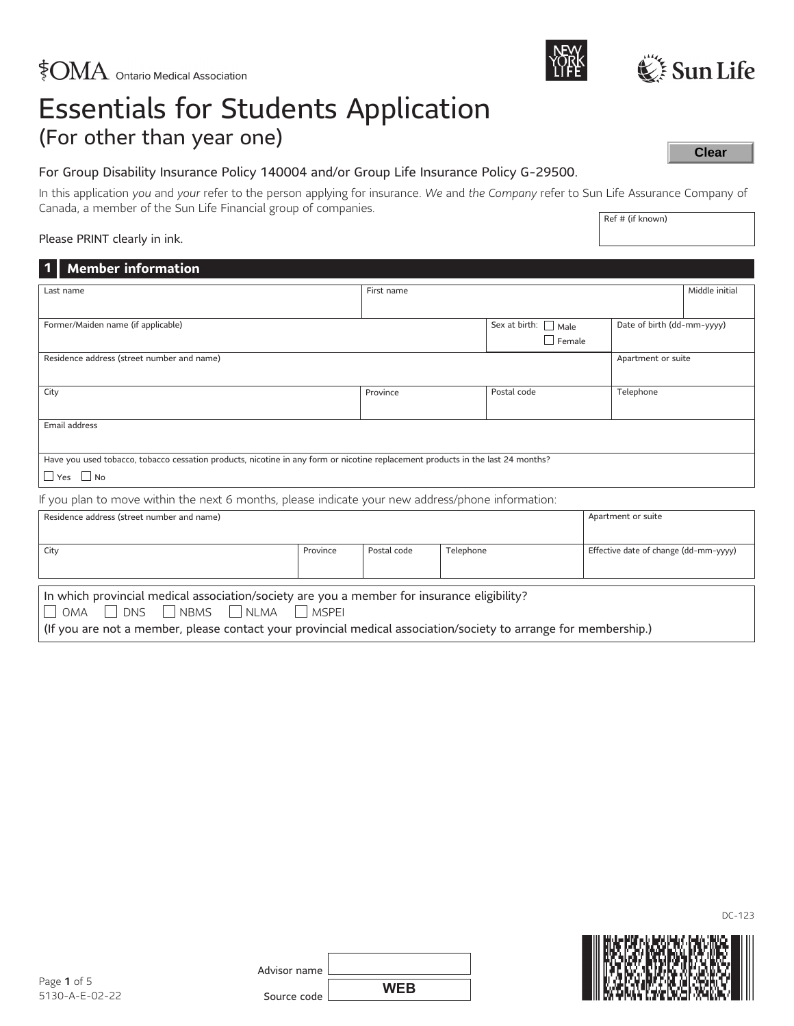# Essentials for Students Application (For other than year one)

# For Group Disability Insurance Policy 140004 and/or Group Life Insurance Policy G-29500.

Ref # (if known) In this application *you* and *your* refer to the person applying for insurance. *We* and *the Company* refer to Sun Life Assurance Company of Canada, a member of the Sun Life Financial group of companies.

# Please PRINT clearly in ink.

| <b>Member information</b><br>$\vert$ 1 $\vert$                                                                                  |          |                          |                           |                                       |                            |  |
|---------------------------------------------------------------------------------------------------------------------------------|----------|--------------------------|---------------------------|---------------------------------------|----------------------------|--|
| First name<br>Last name                                                                                                         |          |                          |                           | Middle initial                        |                            |  |
|                                                                                                                                 |          |                          |                           |                                       |                            |  |
| Former/Maiden name (if applicable)                                                                                              |          |                          | Sex at birth: $\Box$ Male |                                       | Date of birth (dd-mm-yyyy) |  |
|                                                                                                                                 |          |                          |                           | $\Box$ Female                         |                            |  |
| Residence address (street number and name)                                                                                      |          |                          |                           |                                       | Apartment or suite         |  |
|                                                                                                                                 |          |                          |                           |                                       |                            |  |
| City                                                                                                                            |          | Province                 |                           | Postal code                           | Telephone                  |  |
|                                                                                                                                 |          |                          |                           |                                       |                            |  |
| Email address                                                                                                                   |          |                          |                           |                                       |                            |  |
|                                                                                                                                 |          |                          |                           |                                       |                            |  |
| Have you used tobacco, tobacco cessation products, nicotine in any form or nicotine replacement products in the last 24 months? |          |                          |                           |                                       |                            |  |
| $\Box$ Yes $\Box$ No                                                                                                            |          |                          |                           |                                       |                            |  |
| If you plan to move within the next 6 months, please indicate your new address/phone information:                               |          |                          |                           |                                       |                            |  |
| Residence address (street number and name)                                                                                      |          |                          |                           | Apartment or suite                    |                            |  |
|                                                                                                                                 |          |                          |                           |                                       |                            |  |
| City                                                                                                                            | Province | Postal code<br>Telephone |                           | Effective date of change (dd-mm-yyyy) |                            |  |
|                                                                                                                                 |          |                          |                           |                                       |                            |  |
| In which provincial medical association/society are you a member for insurance eligibility?                                     |          |                          |                           |                                       |                            |  |
| DNS<br>NBMS<br>$NLMA$ $MSPE1$<br>$OMA$ $\Box$                                                                                   |          |                          |                           |                                       |                            |  |
|                                                                                                                                 |          |                          |                           |                                       |                            |  |

(If you are not a member, please contact your provincial medical association/society to arrange for membership.)

| Advisor name |            |  |
|--------------|------------|--|
| Source code  | <b>WFR</b> |  |



DC-123



**Clear**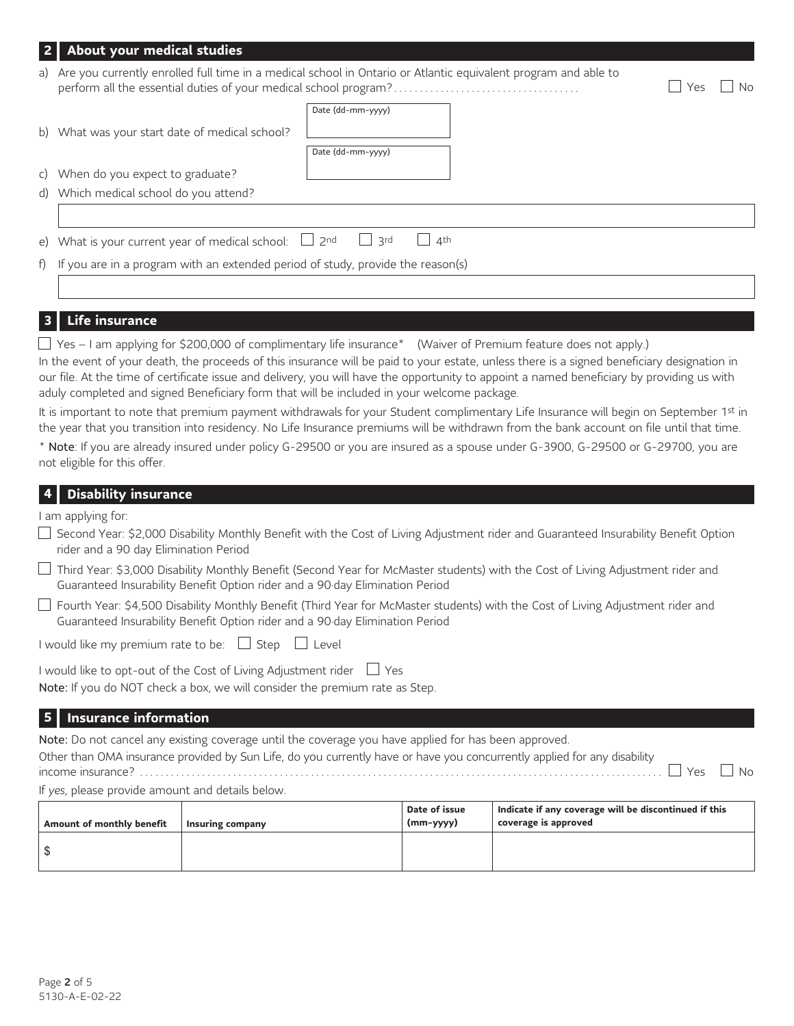<span id="page-1-1"></span>

| $\mathbf{z}$ | About your medical studies                                                                           |                                                                                 |                   |               |                                                                                                                                             |
|--------------|------------------------------------------------------------------------------------------------------|---------------------------------------------------------------------------------|-------------------|---------------|---------------------------------------------------------------------------------------------------------------------------------------------|
|              |                                                                                                      | perform all the essential duties of your medical school program?                |                   |               | a) Are you currently enrolled full time in a medical school in Ontario or Atlantic equivalent program and able to<br>Yes<br><b>No</b>       |
|              |                                                                                                      |                                                                                 | Date (dd-mm-yyyy) |               |                                                                                                                                             |
| b)           | What was your start date of medical school?                                                          |                                                                                 |                   |               |                                                                                                                                             |
|              |                                                                                                      |                                                                                 | Date (dd-mm-yyyy) |               |                                                                                                                                             |
|              | c) When do you expect to graduate?                                                                   |                                                                                 |                   |               |                                                                                                                                             |
| $\mathsf{d}$ | Which medical school do you attend?                                                                  |                                                                                 |                   |               |                                                                                                                                             |
|              |                                                                                                      |                                                                                 |                   |               |                                                                                                                                             |
| e)           | What is your current year of medical school:                                                         |                                                                                 | 2nd<br>3rd        | 4th           |                                                                                                                                             |
| f)           |                                                                                                      | If you are in a program with an extended period of study, provide the reason(s) |                   |               |                                                                                                                                             |
|              |                                                                                                      |                                                                                 |                   |               |                                                                                                                                             |
|              | <b>Life insurance</b>                                                                                |                                                                                 |                   |               |                                                                                                                                             |
|              |                                                                                                      |                                                                                 |                   |               | $\Box$ Yes – I am applying for \$200,000 of complimentary life insurance* (Waiver of Premium feature does not apply.)                       |
|              |                                                                                                      |                                                                                 |                   |               | In the event of your death, the proceeds of this insurance will be paid to your estate, unless there is a signed beneficiary designation in |
|              |                                                                                                      |                                                                                 |                   |               | our file. At the time of certificate issue and delivery, you will have the opportunity to appoint a named beneficiary by providing us with  |
|              | aduly completed and signed Beneficiary form that will be included in your welcome package.           |                                                                                 |                   |               | It is important to note that premium payment withdrawals for your Student complimentary Life Insurance will begin on September 1st in       |
|              |                                                                                                      |                                                                                 |                   |               | the year that you transition into residency. No Life Insurance premiums will be withdrawn from the bank account on file until that time.    |
|              |                                                                                                      |                                                                                 |                   |               | * Note: If you are already insured under policy G-29500 or you are insured as a spouse under G-3900, G-29500 or G-29700, you are            |
|              | not eligible for this offer.                                                                         |                                                                                 |                   |               |                                                                                                                                             |
|              | <b>Disability insurance</b>                                                                          |                                                                                 |                   |               |                                                                                                                                             |
|              | I am applying for:                                                                                   |                                                                                 |                   |               |                                                                                                                                             |
|              |                                                                                                      |                                                                                 |                   |               | Second Year: \$2,000 Disability Monthly Benefit with the Cost of Living Adjustment rider and Guaranteed Insurability Benefit Option         |
|              | rider and a 90 day Elimination Period                                                                |                                                                                 |                   |               |                                                                                                                                             |
|              | Guaranteed Insurability Benefit Option rider and a 90 day Elimination Period                         |                                                                                 |                   |               | Third Year: \$3,000 Disability Monthly Benefit (Second Year for McMaster students) with the Cost of Living Adjustment rider and             |
|              | Guaranteed Insurability Benefit Option rider and a 90 day Elimination Period                         |                                                                                 |                   |               | Fourth Year: \$4,500 Disability Monthly Benefit (Third Year for McMaster students) with the Cost of Living Adjustment rider and             |
|              | I would like my premium rate to be: $\Box$ Step $\Box$ Level                                         |                                                                                 |                   |               |                                                                                                                                             |
|              | I would like to opt-out of the Cost of Living Adjustment rider □ Yes                                 |                                                                                 |                   |               |                                                                                                                                             |
|              | Note: If you do NOT check a box, we will consider the premium rate as Step.                          |                                                                                 |                   |               |                                                                                                                                             |
| 5            | <b>Insurance information</b>                                                                         |                                                                                 |                   |               |                                                                                                                                             |
|              | Note: Do not cancel any existing coverage until the coverage you have applied for has been approved. |                                                                                 |                   |               |                                                                                                                                             |
|              |                                                                                                      |                                                                                 |                   |               | Other than OMA insurance provided by Sun Life, do you currently have or have you concurrently applied for any disability<br>Yes<br>No.      |
|              | If yes, please provide amount and details below.                                                     |                                                                                 |                   |               |                                                                                                                                             |
|              |                                                                                                      |                                                                                 |                   | Date of issue | Indicate if any coverage will be discontinued if this                                                                                       |
|              | Amount of monthly benefit                                                                            | Insuring company                                                                |                   | $(mm - yyyy)$ | coverage is approved                                                                                                                        |

<span id="page-1-0"></span>\$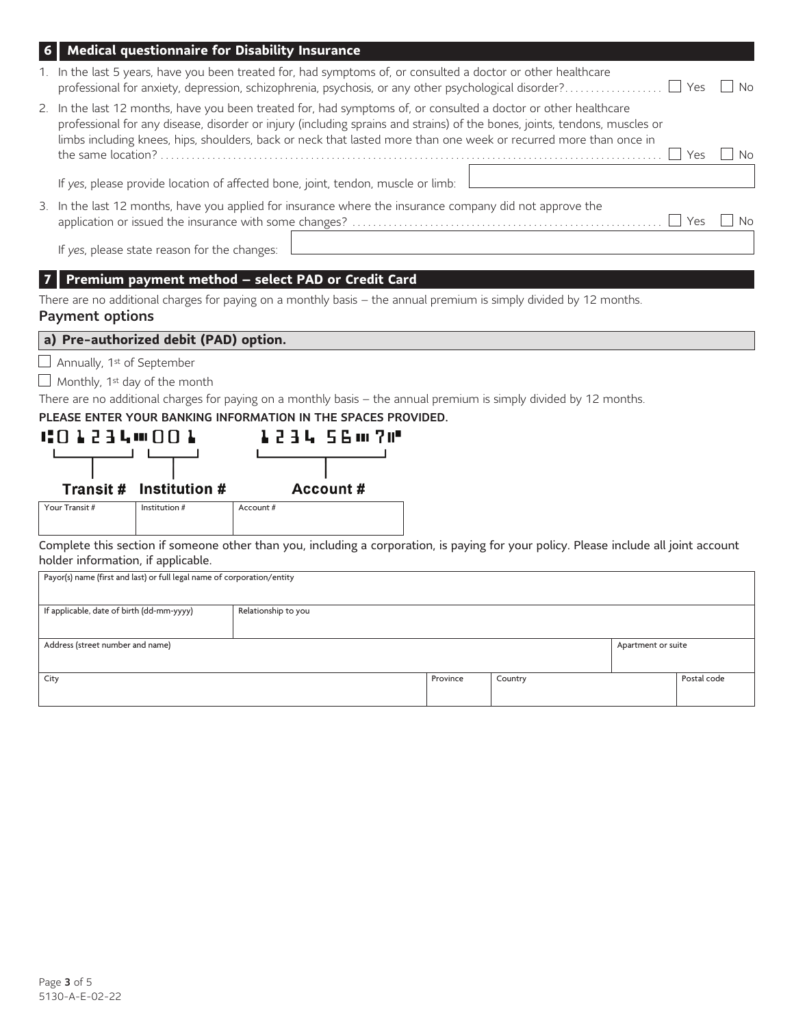|                                                                                                                                       | Medical questionnaire for Disability Insurance                                                                                                                                                                                                                                                                                                                                    |
|---------------------------------------------------------------------------------------------------------------------------------------|-----------------------------------------------------------------------------------------------------------------------------------------------------------------------------------------------------------------------------------------------------------------------------------------------------------------------------------------------------------------------------------|
|                                                                                                                                       | 1. In the last 5 years, have you been treated for, had symptoms of, or consulted a doctor or other healthcare<br>$\Box$ No                                                                                                                                                                                                                                                        |
|                                                                                                                                       | 2. In the last 12 months, have you been treated for, had symptoms of, or consulted a doctor or other healthcare<br>professional for any disease, disorder or injury (including sprains and strains) of the bones, joints, tendons, muscles or<br>limbs including knees, hips, shoulders, back or neck that lasted more than one week or recurred more than once in<br>l Yes<br>No |
|                                                                                                                                       | If yes, please provide location of affected bone, joint, tendon, muscle or limb:                                                                                                                                                                                                                                                                                                  |
|                                                                                                                                       | 3. In the last 12 months, have you applied for insurance where the insurance company did not approve the<br>No.                                                                                                                                                                                                                                                                   |
|                                                                                                                                       | If yes, please state reason for the changes:                                                                                                                                                                                                                                                                                                                                      |
|                                                                                                                                       | Premium payment method - select PAD or Credit Card<br>There are no additional charges for paying on a monthly basis – the annual premium is simply divided by 12 months.<br><b>Payment options</b>                                                                                                                                                                                |
|                                                                                                                                       | a) Pre-authorized debit (PAD) option.                                                                                                                                                                                                                                                                                                                                             |
|                                                                                                                                       | $\Box$ Annually, 1 <sup>st</sup> of September                                                                                                                                                                                                                                                                                                                                     |
|                                                                                                                                       | $\Box$ Monthly, 1 <sup>st</sup> day of the month                                                                                                                                                                                                                                                                                                                                  |
|                                                                                                                                       | There are no additional charges for paying on a monthly basis - the annual premium is simply divided by 12 months.                                                                                                                                                                                                                                                                |
|                                                                                                                                       | PLEASE ENTER YOUR BANKING INFORMATION IN THE SPACES PROVIDED.                                                                                                                                                                                                                                                                                                                     |
|                                                                                                                                       | 1:0 1 2 3 4 m 0 0 1<br>1537 25m Ju<br>Account#<br>Transit#<br>Institution #                                                                                                                                                                                                                                                                                                       |
|                                                                                                                                       | Your Transit #<br>Institution #<br>Account #                                                                                                                                                                                                                                                                                                                                      |
|                                                                                                                                       |                                                                                                                                                                                                                                                                                                                                                                                   |
| Complete this section if someone other than you, including a corporation, is paying for your policy. Please include all joint account |                                                                                                                                                                                                                                                                                                                                                                                   |

| Payor(s) name (first and last) or full legal name of corporation/entity |                     |          |         |                    |             |
|-------------------------------------------------------------------------|---------------------|----------|---------|--------------------|-------------|
| If applicable, date of birth (dd-mm-yyyy)                               | Relationship to you |          |         |                    |             |
| Address (street number and name)                                        |                     |          |         | Apartment or suite |             |
| City                                                                    |                     | Province | Country |                    | Postal code |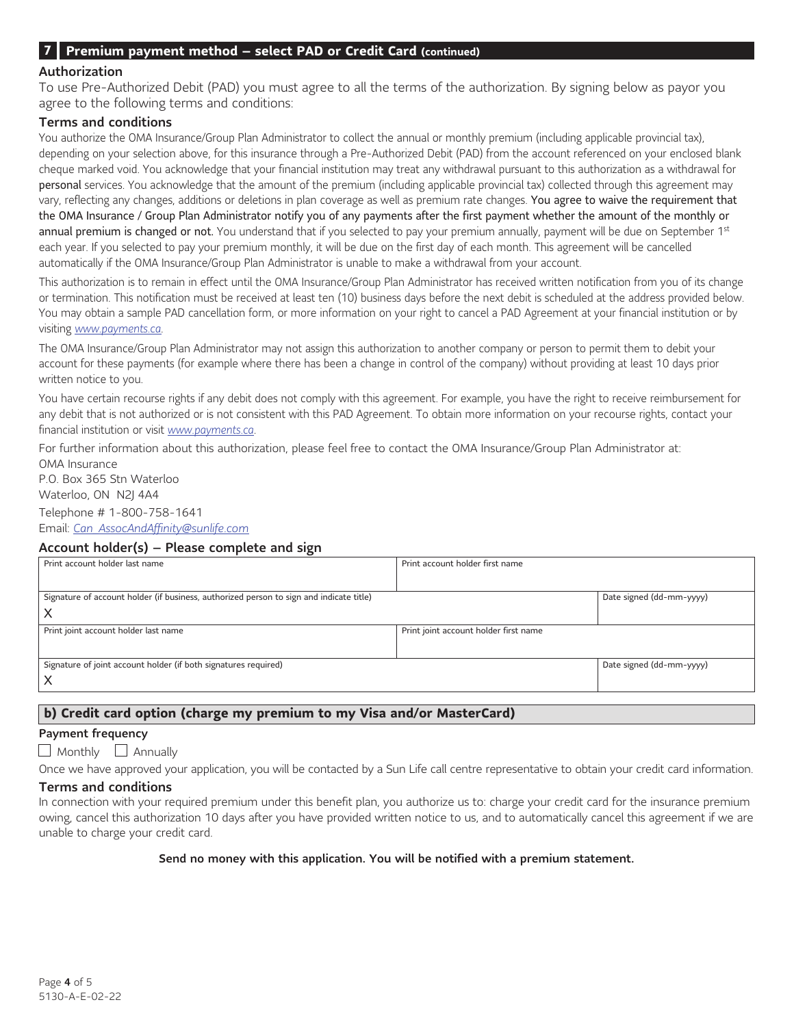## **7 Premium payment method – select PAD or Credit Card (continued)**

#### Authorization

To use Pre-Authorized Debit (PAD) you must agree to all the terms of the authorization. By signing below as payor you agree to the following terms and conditions:

## Terms and conditions

You authorize the OMA Insurance/Group Plan Administrator to collect the annual or monthly premium (including applicable provincial tax), depending on your selection above, for this insurance through a Pre-Authorized Debit (PAD) from the account referenced on your enclosed blank cheque marked void. You acknowledge that your financial institution may treat any withdrawal pursuant to this authorization as a withdrawal for personal services. You acknowledge that the amount of the premium (including applicable provincial tax) collected through this agreement may vary, reflecting any changes, additions or deletions in plan coverage as well as premium rate changes. You agree to waive the requirement that the OMA Insurance / Group Plan Administrator notify you of any payments after the first payment whether the amount of the monthly or annual premium is changed or not. You understand that if you selected to pay your premium annually, payment will be due on September 1st each year. If you selected to pay your premium monthly, it will be due on the first day of each month. This agreement will be cancelled automatically if the OMA Insurance/Group Plan Administrator is unable to make a withdrawal from your account.

This authorization is to remain in effect until the OMA Insurance/Group Plan Administrator has received written notification from you of its change or termination. This notification must be received at least ten (10) business days before the next debit is scheduled at the address provided below. You may obtain a sample PAD cancellation form, or more information on your right to cancel a PAD Agreement at your financial institution or by visiting *[www.payments.ca](http://www.payments.ca)*.

The OMA Insurance/Group Plan Administrator may not assign this authorization to another company or person to permit them to debit your account for these payments (for example where there has been a change in control of the company) without providing at least 10 days prior written notice to you.

You have certain recourse rights if any debit does not comply with this agreement. For example, you have the right to receive reimbursement for any debit that is not authorized or is not consistent with this PAD Agreement. To obtain more information on your recourse rights, contact your financial institution or visit *[www.payments.ca](http://www.payments.ca)*.

For further information about this authorization, please feel free to contact the OMA Insurance/Group Plan Administrator at: OMA Insurance

P.O. Box 365 Stn Waterloo Waterloo, ON N2J 4A4 Telephone # 1-800-758-1641

Email: *[Can\\_AssocAndAffinity@sunlife.com](mailto:Can_AssocAndAffinity@sunlife.com)*

### Account holder(s) – Please complete and sign

| Print account holder last name                                                          | Print account holder first name       |                          |
|-----------------------------------------------------------------------------------------|---------------------------------------|--------------------------|
|                                                                                         |                                       |                          |
|                                                                                         |                                       |                          |
| Signature of account holder (if business, authorized person to sign and indicate title) |                                       | Date signed (dd-mm-yyyy) |
|                                                                                         |                                       |                          |
| Print joint account holder last name                                                    | Print joint account holder first name |                          |
|                                                                                         |                                       |                          |
|                                                                                         |                                       |                          |
| Signature of joint account holder (if both signatures required)                         |                                       | Date signed (dd-mm-yyyy) |
|                                                                                         |                                       |                          |
|                                                                                         |                                       |                          |
|                                                                                         |                                       |                          |

## **b) Credit card option (charge my premium to my Visa and/or MasterCard)**

### Payment frequency

 $\Box$  Monthly  $\Box$  Annually

Once we have approved your application, you will be contacted by a Sun Life call centre representative to obtain your credit card information.

## Terms and conditions

In connection with your required premium under this benefit plan, you authorize us to: charge your credit card for the insurance premium owing, cancel this authorization 10 days after you have provided written notice to us, and to automatically cancel this agreement if we are unable to charge your credit card.

### Send no money with this application. You will be notified with a premium statement.